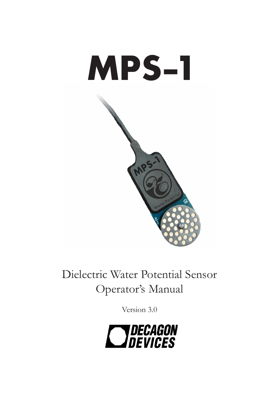

Dielectric Water Potential Sensor Operator's Manual

Version 3.0

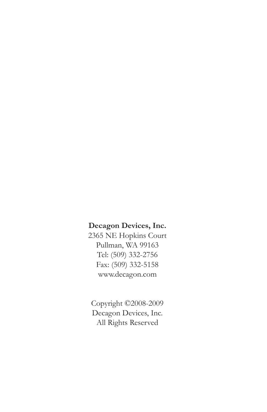#### **Decagon Devices, Inc.**

2365 NE Hopkins Court Pullman, WA 99163 Tel: (509) 332-2756 Fax: (509) 332-5158 www.decagon.com

Copyright ©2008-2009 Decagon Devices, Inc. All Rights Reserved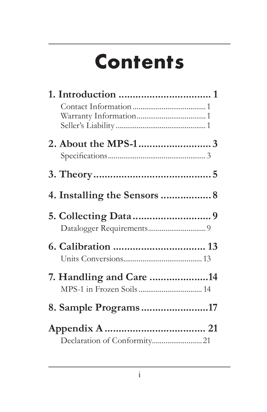# **Contents**

| 4. Installing the Sensors  8 |  |
|------------------------------|--|
|                              |  |
|                              |  |
|                              |  |
|                              |  |
| 7. Handling and Care 14      |  |
|                              |  |
| 8. Sample Programs17         |  |
|                              |  |
|                              |  |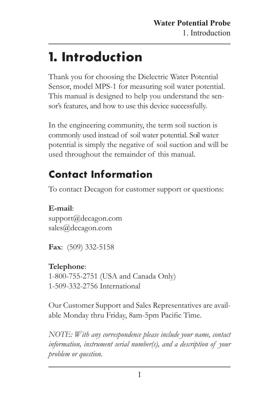## <span id="page-3-0"></span>**1. Introduction**

Thank you for choosing the Dielectric Water Potential Sensor, model MPS-1 for measuring soil water potential. This manual is designed to help you understand the sensor's features, and how to use this device successfully.

In the engineering community, the term soil suction is commonly used instead of soil water potential. Soil water potential is simply the negative of soil suction and will be used throughout the remainder of this manual.

### **Contact Information**

To contact Decagon for customer support or questions:

**E-mail**: support@decagon.com sales@decagon.com

**Fax**: (509) 332-5158

#### **Telephone**:

1-800-755-2751 (USA and Canada Only) 1-509-332-2756 International

Our Customer Support and Sales Representatives are available Monday thru Friday, 8am-5pm Pacific Time.

*NOTE: With any correspondence please include your name, contact information, instrument serial number(s), and a description of your problem or question.*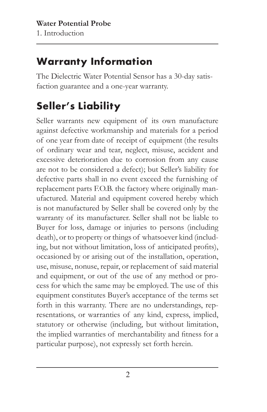### **Warranty Information**

The Dielectric Water Potential Sensor has a 30-day satisfaction guarantee and a one-year warranty.

### **Seller's Liability**

Seller warrants new equipment of its own manufacture against defective workmanship and materials for a period of one year from date of receipt of equipment (the results of ordinary wear and tear, neglect, misuse, accident and excessive deterioration due to corrosion from any cause are not to be considered a defect); but Seller's liability for defective parts shall in no event exceed the furnishing of replacement parts F.O.B. the factory where originally manufactured. Material and equipment covered hereby which is not manufactured by Seller shall be covered only by the warranty of its manufacturer. Seller shall not be liable to Buyer for loss, damage or injuries to persons (including death), or to property or things of whatsoever kind (including, but not without limitation, loss of anticipated profits), occasioned by or arising out of the installation, operation, use, misuse, nonuse, repair, or replacement of said material and equipment, or out of the use of any method or process for which the same may be employed. The use of this equipment constitutes Buyer's acceptance of the terms set forth in this warranty. There are no understandings, representations, or warranties of any kind, express, implied, statutory or otherwise (including, but without limitation, the implied warranties of merchantability and fitness for a particular purpose), not expressly set forth herein.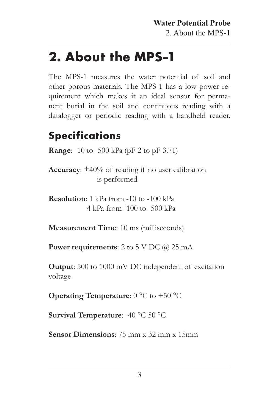## <span id="page-5-0"></span>**2. About the MPS-1**

The MPS-1 measures the water potential of soil and other porous materials. The MPS-1 has a low power requirement which makes it an ideal sensor for permanent burial in the soil and continuous reading with a datalogger or periodic reading with a handheld reader.

### **Specifications**

**Range:** -10 to -500 kPa (pF 2 to pF 3.71)

**Accuracy**: ±40% of reading if no user calibration is performed

**Resolution**: 1 kPa from -10 to -100 kPa 4 kPa from -100 to -500 kPa

**Measurement Time**: 10 ms (milliseconds)

**Power requirements:** 2 to 5 V DC @ 25 mA

**Output**: 500 to 1000 mV DC independent of excitation voltage

**Operating Temperature**:  $0^{\circ}$ C to +50 <sup>o</sup>C

**Survival Temperature**: -40 °C 50 °C

**Sensor Dimensions**: 75 mm x 32 mm x 15mm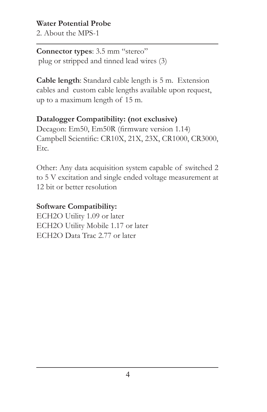<span id="page-6-0"></span>2. About the MPS-1

**Connector types**: 3.5 mm "stereo" plug or stripped and tinned lead wires (3)

**Cable length**: Standard cable length is 5 m. Extension cables and custom cable lengths available upon request, up to a maximum length of 15 m.

#### **Datalogger Compatibility: (not exclusive)**

Decagon: Em50, Em50R (firmware version 1.14) Campbell Scientific: CR10X, 21X, 23X, CR1000, CR3000, Etc.

Other: Any data acquisition system capable of switched 2 to 5 V excitation and single ended voltage measurement at 12 bit or better resolution

#### **Software Compatibility:**

ECH2O Utility 1.09 or later ECH2O Utility Mobile 1.17 or later ECH2O Data Trac 2.77 or later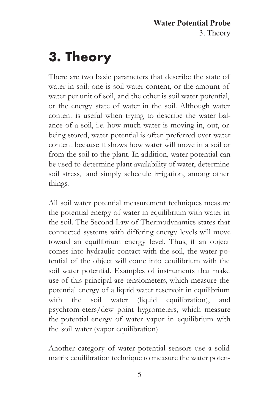## <span id="page-7-0"></span>**3. Theory**

There are two basic parameters that describe the state of water in soil: one is soil water content, or the amount of water per unit of soil, and the other is soil water potential, or the energy state of water in the soil. Although water content is useful when trying to describe the water balance of a soil, i.e. how much water is moving in, out, or being stored, water potential is often preferred over water content because it shows how water will move in a soil or from the soil to the plant. In addition, water potential can be used to determine plant availability of water, determine soil stress, and simply schedule irrigation, among other things.

All soil water potential measurement techniques measure the potential energy of water in equilibrium with water in the soil. The Second Law of Thermodynamics states that connected systems with differing energy levels will move toward an equilibrium energy level. Thus, if an object comes into hydraulic contact with the soil, the water potential of the object will come into equilibrium with the soil water potential. Examples of instruments that make use of this principal are tensiometers, which measure the potential energy of a liquid water reservoir in equilibrium with the soil water (liquid equilibration), and psychrom-eters/dew point hygrometers, which measure the potential energy of water vapor in equilibrium with the soil water (vapor equilibration).

Another category of water potential sensors use a solid matrix equilibration technique to measure the water poten-

5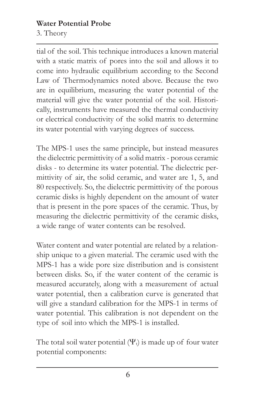<span id="page-8-0"></span>3. Theory

tial of the soil. This technique introduces a known material with a static matrix of pores into the soil and allows it to come into hydraulic equilibrium according to the Second Law of Thermodynamics noted above. Because the two are in equilibrium, measuring the water potential of the material will give the water potential of the soil. Historically, instruments have measured the thermal conductivity or electrical conductivity of the solid matrix to determine its water potential with varying degrees of success.

The MPS-1 uses the same principle, but instead measures the dielectric permittivity of a solid matrix - porous ceramic disks - to determine its water potential. The dielectric permittivity of air, the solid ceramic, and water are 1, 5, and 80 respectively. So, the dielectric permittivity of the porous ceramic disks is highly dependent on the amount of water that is present in the pore spaces of the ceramic. Thus, by measuring the dielectric permittivity of the ceramic disks, a wide range of water contents can be resolved.

Water content and water potential are related by a relationship unique to a given material. The ceramic used with the MPS-1 has a wide pore size distribution and is consistent between disks. So, if the water content of the ceramic is measured accurately, along with a measurement of actual water potential, then a calibration curve is generated that will give a standard calibration for the MPS-1 in terms of water potential. This calibration is not dependent on the type of soil into which the MPS-1 is installed.

The total soil water potential  $(\Psi_t)$  is made up of four water potential components: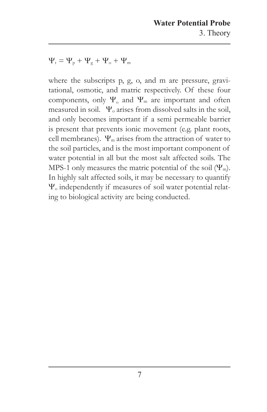$\Psi_t = \Psi_p + \Psi_g + \Psi_o + \Psi_m$ 

where the subscripts p, g, o, and m are pressure, gravitational, osmotic, and matric respectively. Of these four components, only  $\Psi_0$  and  $\Psi_m$  are important and often measured in soil.  $\Psi_0$  arises from dissolved salts in the soil, and only becomes important if a semi permeable barrier is present that prevents ionic movement (e.g. plant roots, cell membranes).  $\Psi_{\rm m}$  arises from the attraction of water to the soil particles, and is the most important component of water potential in all but the most salt affected soils. The MPS-1 only measures the matric potential of the soil  $(\Psi_m)$ . In highly salt affected soils, it may be necessary to quantify Yo independently if measures of soil water potential relating to biological activity are being conducted.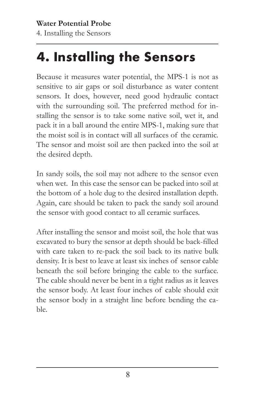## <span id="page-10-0"></span>**4. Installing the Sensors**

Because it measures water potential, the MPS-1 is not as sensitive to air gaps or soil disturbance as water content sensors. It does, however, need good hydraulic contact with the surrounding soil. The preferred method for installing the sensor is to take some native soil, wet it, and pack it in a ball around the entire MPS-1, making sure that the moist soil is in contact will all surfaces of the ceramic. The sensor and moist soil are then packed into the soil at the desired depth.

In sandy soils, the soil may not adhere to the sensor even when wet. In this case the sensor can be packed into soil at the bottom of a hole dug to the desired installation depth. Again, care should be taken to pack the sandy soil around the sensor with good contact to all ceramic surfaces.

After installing the sensor and moist soil, the hole that was excavated to bury the sensor at depth should be back-filled with care taken to re-pack the soil back to its native bulk density. It is best to leave at least six inches of sensor cable beneath the soil before bringing the cable to the surface. The cable should never be bent in a tight radius as it leaves the sensor body. At least four inches of cable should exit the sensor body in a straight line before bending the cable.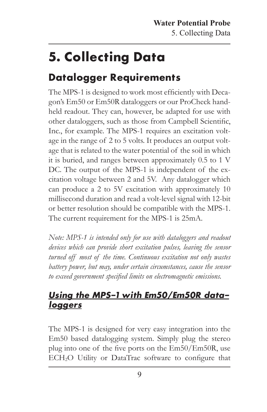## <span id="page-11-0"></span>**5. Collecting Data**

### **Datalogger Requirements**

The MPS-1 is designed to work most efficiently with Decagon's Em50 or Em50R dataloggers or our ProCheck handheld readout. They can, however, be adapted for use with other dataloggers, such as those from Campbell Scientific, Inc., for example. The MPS-1 requires an excitation voltage in the range of 2 to 5 volts. It produces an output voltage that is related to the water potential of the soil in which it is buried, and ranges between approximately 0.5 to 1 V DC. The output of the MPS-1 is independent of the excitation voltage between 2 and 5V. Any datalogger which can produce a 2 to 5V excitation with approximately 10 millisecond duration and read a volt-level signal with 12-bit or better resolution should be compatible with the MPS-1. The current requirement for the MPS-1 is 25mA.

*Note: MPS-1 is intended only for use with dataloggers and readout devices which can provide short excitation pulses, leaving the sensor turned off most of the time. Continuous excitation not only wastes battery power, but may, under certain circumstances, cause the sensor to exceed government specified limits on electromagnetic emissions.*

#### **Using the MPS-1 with Em50/Em50R dataloggers**

The MPS-1 is designed for very easy integration into the Em50 based datalogging system. Simply plug the stereo plug into one of the five ports on the Em50/Em50R, use ECH2O Utility or DataTrac software to configure that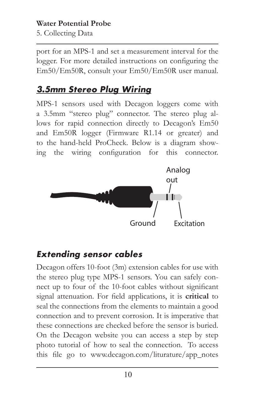<span id="page-12-0"></span>5. Collecting Data

port for an MPS-1 and set a measurement interval for the logger. For more detailed instructions on configuring the Em50/Em50R, consult your Em50/Em50R user manual.

#### **3.5mm Stereo Plug Wiring**

MPS-1 sensors used with Decagon loggers come with a 3.5mm "stereo plug" connector. The stereo plug allows for rapid connection directly to Decagon's Em50 and Em50R logger (Firmware R1.14 or greater) and to the hand-held ProCheck. Below is a diagram showing the wiring configuration for this connector.



#### **Extending sensor cables**

Decagon offers 10-foot (3m) extension cables for use with the stereo plug type MPS-1 sensors. You can safely connect up to four of the 10-foot cables without significant signal attenuation. For field applications, it is **critical** to seal the connections from the elements to maintain a good connection and to prevent corrosion. It is imperative that these connections are checked before the sensor is buried. On the Decagon website you can access a step by step photo tutorial of how to seal the connection. To access this file go to www.decagon.com/liturature/app\_notes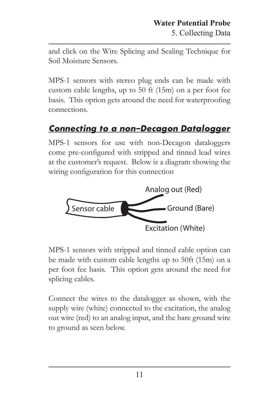<span id="page-13-0"></span>and click on the Wire Splicing and Sealing Technique for Soil Moisture Sensors.

MPS-1 sensors with stereo plug ends can be made with custom cable lengths, up to 50 ft (15m) on a per foot fee basis. This option gets around the need for waterproofing connections.

#### **Connecting to a non-Decagon Datalogger**

MPS-1 sensors for use with non-Decagon dataloggers come pre-configured with stripped and tinned lead wires at the customer's request. Below is a diagram showing the wiring configuration for this connection



MPS-1 sensors with stripped and tinned cable option can be made with custom cable lengths up to 50ft (15m) on a per foot fee basis. This option gets around the need for splicing cables.

Connect the wires to the datalogger as shown, with the supply wire (white) connected to the excitation, the analog out wire (red) to an analog input, and the bare ground wire to ground as seen below.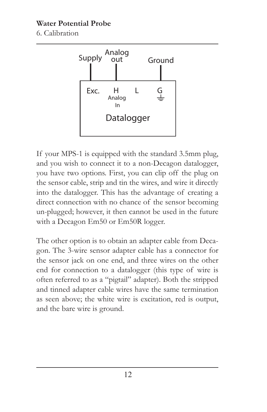<span id="page-14-0"></span>6. Calibration



If your MPS-1 is equipped with the standard 3.5mm plug, and you wish to connect it to a non-Decagon datalogger, you have two options. First, you can clip off the plug on the sensor cable, strip and tin the wires, and wire it directly into the datalogger. This has the advantage of creating a direct connection with no chance of the sensor becoming un-plugged; however, it then cannot be used in the future with a Decagon Em50 or Em50R logger.

The other option is to obtain an adapter cable from Decagon. The 3-wire sensor adapter cable has a connector for the sensor jack on one end, and three wires on the other end for connection to a datalogger (this type of wire is often referred to as a "pigtail" adapter). Both the stripped and tinned adapter cable wires have the same termination as seen above; the white wire is excitation, red is output, and the bare wire is ground.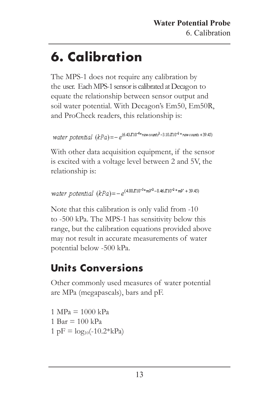## <span id="page-15-0"></span>**6. Calibration**

The MPS-1 does not require any calibration by the user. Each MPS-1 sensor is calibrated at Decagon to equate the relationship between sensor output and soil water potential. With Decagon's Em50, Em50R, and ProCheck readers, this relationship is:

```
Water potential (kPa) = -e^{(6.43K10^{-6} * raw\text{ counts}^2 - 3.10K10^{-2} * raw\text{ counts} + 39.45)}
```
With other data acquisition equipment, if the sensor is excited with a voltage level between 2 and 5V, the relationship is:

```
water potential (kPa) = -e^{(4.80R10^{-5} *mV^2 - 3.46R10^{-2} *mV + 39.45)}
```
Note that this calibration is only valid from -10 to -500 kPa. The MPS-1 has sensitivity below this range, but the calibration equations provided above may not result in accurate measurements of water potential below -500 kPa.

### **Units Conversions**

Other commonly used measures of water potential are MPa (megapascals), bars and pF.

 $1 \text{ MPa} = 1000 \text{ kPa}$ 1 Bar  $= 100 \text{ kPa}$  $1 \text{pF} = \log_{10}(-10.2*kPa)$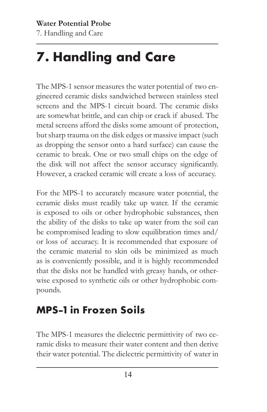## <span id="page-16-0"></span>**7. Handling and Care**

The MPS-1 sensor measures the water potential of two engineered ceramic disks sandwiched between stainless steel screens and the MPS-1 circuit board. The ceramic disks are somewhat brittle, and can chip or crack if abused. The metal screens afford the disks some amount of protection, but sharp trauma on the disk edges or massive impact (such as dropping the sensor onto a hard surface) can cause the ceramic to break. One or two small chips on the edge of the disk will not affect the sensor accuracy significantly. However, a cracked ceramic will create a loss of accuracy.

For the MPS-1 to accurately measure water potential, the ceramic disks must readily take up water. If the ceramic is exposed to oils or other hydrophobic substances, then the ability of the disks to take up water from the soil can be compromised leading to slow equilibration times and/ or loss of accuracy. It is recommended that exposure of the ceramic material to skin oils be minimized as much as is conveniently possible, and it is highly recommended that the disks not be handled with greasy hands, or otherwise exposed to synthetic oils or other hydrophobic compounds.

### **MPS-1 in Frozen Soils**

The MPS-1 measures the dielectric permittivity of two ceramic disks to measure their water content and then derive their water potential. The dielectric permittivity of water in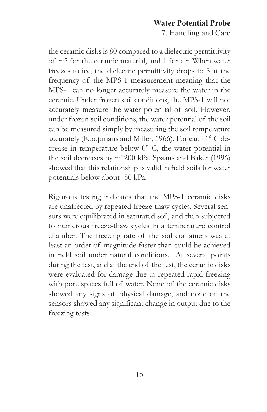<span id="page-17-0"></span>the ceramic disks is 80 compared to a dielectric permittivity of  $~5$  for the ceramic material, and 1 for air. When water freezes to ice, the dielectric permittivity drops to 5 at the frequency of the MPS-1 measurement meaning that the MPS-1 can no longer accurately measure the water in the ceramic. Under frozen soil conditions, the MPS-1 will not accurately measure the water potential of soil. However, under frozen soil conditions, the water potential of the soil can be measured simply by measuring the soil temperature accurately (Koopmans and Miller, 1966). For each 1° C decrease in temperature below 0° C, the water potential in the soil decreases by  $\sim$ 1200 kPa. Spaans and Baker (1996) showed that this relationship is valid in field soils for water potentials below about -50 kPa.

Rigorous testing indicates that the MPS-1 ceramic disks are unaffected by repeated freeze-thaw cycles. Several sensors were equilibrated in saturated soil, and then subjected to numerous freeze-thaw cycles in a temperature control chamber. The freezing rate of the soil containers was at least an order of magnitude faster than could be achieved in field soil under natural conditions. At several points during the test, and at the end of the test, the ceramic disks were evaluated for damage due to repeated rapid freezing with pore spaces full of water. None of the ceramic disks showed any signs of physical damage, and none of the sensors showed any significant change in output due to the freezing tests.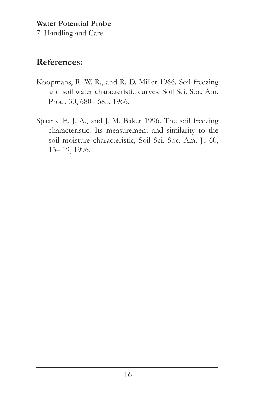7. Handling and Care

#### **References:**

- Koopmans, R. W. R., and R. D. Miller 1966. Soil freezing and soil water characteristic curves, Soil Sci. Soc. Am. Proc., 30, 680– 685, 1966.
- Spaans, E. J. A., and J. M. Baker 1996. The soil freezing characteristic: Its measurement and similarity to the soil moisture characteristic, Soil Sci. Soc. Am. J., 60, 13– 19, 1996.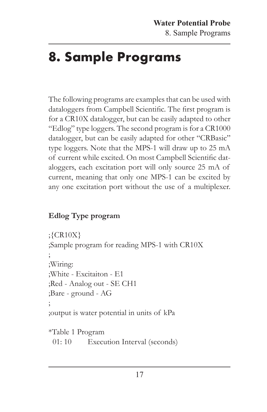## <span id="page-19-0"></span>**8. Sample Programs**

The following programs are examples that can be used with dataloggers from Campbell Scientific. The first program is for a CR10X datalogger, but can be easily adapted to other "Edlog" type loggers. The second program is for a CR1000 datalogger, but can be easily adapted for other "CRBasic" type loggers. Note that the MPS-1 will draw up to 25 mA of current while excited. On most Campbell Scientific dataloggers, each excitation port will only source 25 mA of current, meaning that only one MPS-1 can be excited by any one excitation port without the use of a multiplexer.

#### **Edlog Type program**

```
;{CR10X}
;Sample program for reading MPS-1 with CR10X
;
;Wiring:
;White - Excitaiton - E1
;Red - Analog out - SE CH1
;Bare - ground - AG
;
;output is water potential in units of kPa
*Table 1 Program
```
01: 10 Execution Interval (seconds)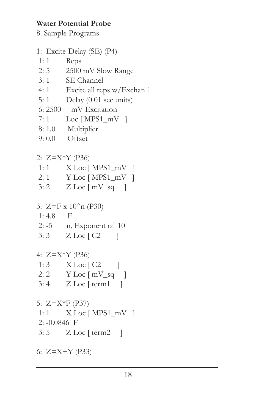- 8. Sample Programs
- 1: Excite-Delay (SE) (P4)
- 1: 1 Reps
- 2: 5 2500 mV Slow Range
- 3: 1 SE Channel
- 4: 1 Excite all reps w/Exchan 1
- 5: 1 Delay (0.01 sec units)
- 6: 2500 mV Excitation
- 7: 1 Loc [ MPS1\_mV ]
- 8: 1.0 Multiplier
- 9: 0.0 Offset

2: Z=X\*Y (P36)

- 1: 1 X Loc [ MPS1\_mV ]
- 2: 1 Y Loc [ MPS1\_mV ]
- $3: 2$  Z Loc [ mV\_sq ]
- 3:  $Z=F x 10^n n (P30)$
- 1: 4.8 F
- 2: -5 n, Exponent of 10
- $3:3$  Z Loc [ C2 ]

```
4: Z=X*Y (P36)
```
- 1:  $3$  X Loc [ C2 ] 2:  $2 \text{ Y}$  Loc  $\lceil mV \text{_{sq}} \rceil$
- 3: 4 Z Loc [ term1 ]
- 5: Z=X\*F (P37)
- 1: 1 X Loc [ MPS1\_mV ]
- 2: -0.0846 F

 $3:5$   $Z$  Loc [ term2 ]

6: Z=X+Y (P33)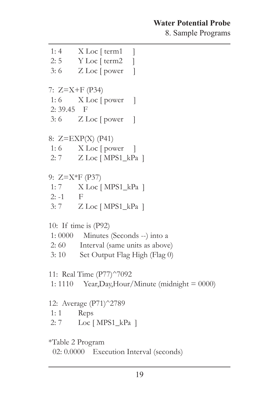8. Sample Programs

 1: 4 X Loc [ term1 ] 2: 5 Y Loc [ term2 ]  $3: 6$  Z Loc [ power ] 7: Z=X+F (P34) 1: 6  $X$  Loc [ power ] 2: 39.45 F  $3: 6$  Z Loc [ power ] 8: Z=EXP(X) (P41) 1: 6  $X$  Loc [ power ] 2: 7 Z Loc [ MPS1\_kPa ] 9: Z=X\*F (P37) 1: 7 X Loc [ MPS1\_kPa ]  $2: -1$  F 3: 7 Z Loc [ MPS1\_kPa ] 10: If time is (P92) 1: 0000 Minutes (Seconds --) into a 2: 60 Interval (same units as above) 3: 10 Set Output Flag High (Flag 0) 11: Real Time (P77)^7092 1: 1110 Year, Day, Hour/Minute (midnight  $= 0000$ ) 12: Average (P71)^2789 1: 1 Reps 2: 7 Loc [ MPS1\_kPa ] \*Table 2 Program 02: 0.0000 Execution Interval (seconds)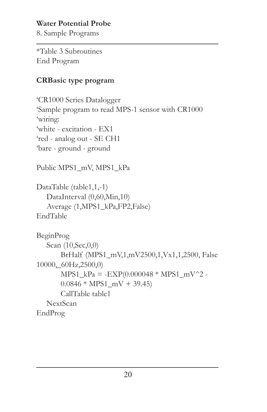8. Sample Programs

\*Table 3 Subroutines End Program

#### **CRBasic type program**

'CR1000 Series Datalogger 'Sample program to read MPS-1 sensor with CR1000 'wiring: 'white - excitation - EX1 'red - analog out - SE CH1 'bare - ground - ground

Public MPS1\_mV, MPS1\_kPa

DataTable (table1,1,-1) DataInterval (0,60,Min,10) Average (1,MPS1\_kPa,FP2,False) EndTable

```
BeginProg
   Scan (10,Sec,0,0)
      BrHalf (MPS1_mV,1,mV2500,1,Vx1,1,2500, False 
10000,_60Hz,2500,0)
      MPS1 kPa = -EXP(0.000048 * MPS1 mV^2 -0.0846 * MPS1_mV + 39.45CallTable table1
    NextScan
EndProg
```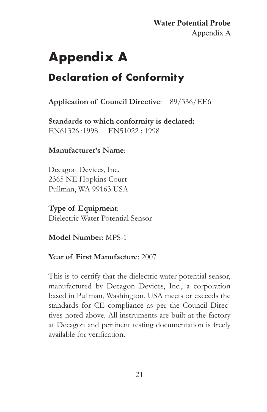## <span id="page-23-0"></span>**Appendix A**

### **Declaration of Conformity**

#### **Application of Council Directive**: 89/336/EE6

**Standards to which conformity is declared:** EN61326 :1998 EN51022 : 1998

#### **Manufacturer's Name**:

Decagon Devices, Inc. 2365 NE Hopkins Court Pullman, WA 99163 USA

**Type of Equipment**: Dielectric Water Potential Sensor

**Model Number**: MPS-1

#### **Year of First Manufacture**: 2007

This is to certify that the dielectric water potential sensor, manufactured by Decagon Devices, Inc., a corporation based in Pullman, Washington, USA meets or exceeds the standards for CE compliance as per the Council Directives noted above. All instruments are built at the factory at Decagon and pertinent testing documentation is freely available for verification.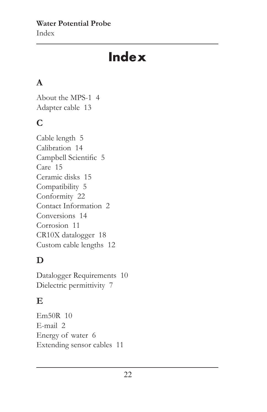**Water Potential Probe**  Index

## **Index**

#### **A**

About the MPS-1 [4](#page-5-0) Adapter cable [13](#page-14-0)

#### **C**

Cable length [5](#page-6-0) Calibration [14](#page-15-0) Campbell Scientific [5](#page-6-0) Care [15](#page-16-0) Ceramic disks [15](#page-16-0) Compatibility [5](#page-6-0) Conformity [22](#page-23-0) Contact Information [2](#page-3-0) Conversions [14](#page-15-0) Corrosion [11](#page-12-0) CR10X datalogger [18](#page-19-0) Custom cable lengths [12](#page-13-0)

#### **D**

Datalogger Requirements [10](#page-11-0) Dielectric permittivity [7](#page-8-0)

#### **E**

Em50R [10](#page-11-0) E-mail [2](#page-3-0) Energy of water [6](#page-7-0) Extending sensor cables [11](#page-12-0)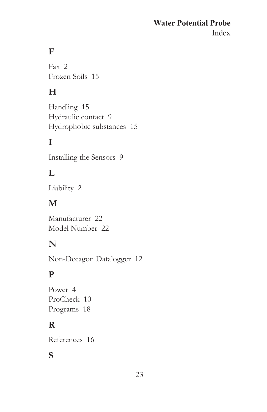#### **Water Potential Probe** Index

### **F**

Fax [2](#page-3-0) Frozen Soils [15](#page-16-0)

#### **H**

Handling [15](#page-16-0) Hydraulic contact [9](#page-10-0) Hydrophobic substances [15](#page-16-0)

#### **I**

Installing the Sensors [9](#page-10-0)

#### **L**

Liability [2](#page-3-0)

#### **M**

Manufacturer [22](#page-23-0) Model Number [22](#page-23-0)

#### **N**

Non-Decagon Datalogger [12](#page-13-0)

#### **P**

Power [4](#page-5-0) ProCheck [10](#page-11-0) Programs [18](#page-19-0)

#### **R**

References [16](#page-17-0)

#### **S**